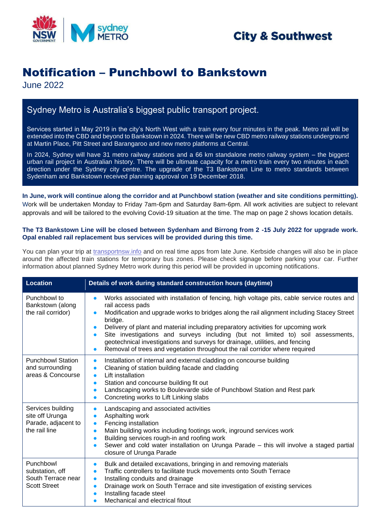

## **City & Southwest**

# Notification – Punchbowl to Bankstown

June 2022

### Sydney Metro is Australia's biggest public transport project.

Services started in May 2019 in the city's North West with a train every four minutes in the peak. Metro rail will be extended into the CBD and beyond to Bankstown in 2024. There will be new CBD metro railway stations underground at Martin Place, Pitt Street and Barangaroo and new metro platforms at Central.

In 2024, Sydney will have 31 metro railway stations and a 66 km standalone metro railway system – the biggest urban rail project in Australian history. There will be ultimate capacity for a metro train every two minutes in each direction under the Sydney city centre. The upgrade of the T3 Bankstown Line to metro standards between Sydenham and Bankstown received planning approval on 19 December 2018.

**In June, work will continue along the corridor and at Punchbowl station (weather and site conditions permitting).** Work will be undertaken Monday to Friday 7am-6pm and Saturday 8am-6pm. All work activities are subject to relevant approvals and will be tailored to the evolving Covid-19 situation at the time. The map on page 2 shows location details.

#### **The T3 Bankstown Line will be closed between Sydenham and Birrong from 2 -15 July 2022 for upgrade work. Opal enabled rail replacement bus services will be provided during this time.**

You can plan your trip at [transportnsw.info](https://transportnsw.info/) and on real time apps from late June. Kerbside changes will also be in place around the affected train stations for temporary bus zones. Please check signage before parking your car. Further information about planned Sydney Metro work during this period will be provided in upcoming notifications.

| <b>Location</b>                                                              | Details of work during standard construction hours (daytime)                                                                                                                                                                                                                                                                                                                                                                                                                                                                                                                 |
|------------------------------------------------------------------------------|------------------------------------------------------------------------------------------------------------------------------------------------------------------------------------------------------------------------------------------------------------------------------------------------------------------------------------------------------------------------------------------------------------------------------------------------------------------------------------------------------------------------------------------------------------------------------|
| Punchbowl to<br>Bankstown (along<br>the rail corridor)                       | Works associated with installation of fencing, high voltage pits, cable service routes and<br>$\bullet$<br>rail access pads<br>Modification and upgrade works to bridges along the rail alignment including Stacey Street<br>bridge.<br>Delivery of plant and material including preparatory activities for upcoming work<br>Site investigations and surveys including (but not limited to) soil assessments,<br>geotechnical investigations and surveys for drainage, utilities, and fencing<br>Removal of trees and vegetation throughout the rail corridor where required |
| <b>Punchbowl Station</b><br>and surrounding<br>areas & Concourse             | Installation of internal and external cladding on concourse building<br>$\bullet$<br>Cleaning of station building facade and cladding<br>$\bullet$<br>Lift installation<br>$\bullet$<br>Station and concourse building fit out<br>$\bullet$<br>Landscaping works to Boulevarde side of Punchbowl Station and Rest park<br>$\bullet$<br>Concreting works to Lift Linking slabs<br>$\bullet$                                                                                                                                                                                   |
| Services building<br>site off Urunga<br>Parade, adjacent to<br>the rail line | Landscaping and associated activities<br>$\bullet$<br>Asphalting work<br>$\bullet$<br>Fencing installation<br>$\bullet$<br>Main building works including footings work, inground services work<br>$\bullet$<br>Building services rough-in and roofing work<br>$\bullet$<br>Sewer and cold water installation on Urunga Parade - this will involve a staged partial<br>$\bullet$<br>closure of Urunga Parade                                                                                                                                                                  |
| Punchbowl<br>substation, off<br>South Terrace near<br><b>Scott Street</b>    | Bulk and detailed excavations, bringing in and removing materials<br>$\bullet$<br>Traffic controllers to facilitate truck movements onto South Terrace<br>$\bullet$<br>Installing conduits and drainage<br>$\bullet$<br>Drainage work on South Terrace and site investigation of existing services<br>$\bullet$<br>Installing facade steel<br>Mechanical and electrical fitout<br>$\bullet$                                                                                                                                                                                  |